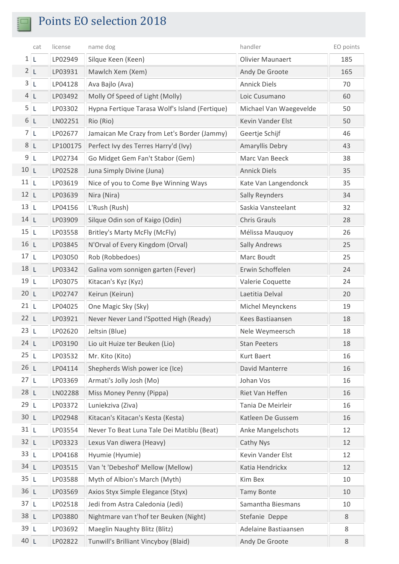$\overline{\mathbb{I}}$ 

|                | cat | license  | name dog                                       | handler                 | EO points |
|----------------|-----|----------|------------------------------------------------|-------------------------|-----------|
| 1 L            |     | LP02949  | Silque Keen (Keen)                             | <b>Olivier Maunaert</b> | 185       |
| 2L             |     | LP03931  | Mawlch Xem (Xem)                               | Andy De Groote          | 165       |
| 3L             |     | LP04128  | Ava Bajlo (Ava)                                | <b>Annick Diels</b>     | 70        |
| 4 <sub>L</sub> |     | LP03492  | Molly Of Speed of Light (Molly)                | Loic Cusumano           | 60        |
| 5L             |     | LP03302  | Hypna Fertique Tarasa Wolf's Island (Fertique) | Michael Van Waegevelde  | 50        |
| 6L             |     | LN02251  | Rio (Rio)                                      | Kevin Vander Elst       | 50        |
| 7 <sub>l</sub> |     | LP02677  | Jamaican Me Crazy from Let's Border (Jammy)    | Geertje Schijf          | 46        |
| 8L             |     | LP100175 | Perfect Ivy des Terres Harry'd (Ivy)           | Amaryllis Debry         | 43        |
| 9L             |     | LP02734  | Go Midget Gem Fan't Stabor (Gem)               | Marc Van Beeck          | 38        |
| 10L            |     | LP02528  | Juna Simply Divine (Juna)                      | <b>Annick Diels</b>     | 35        |
| 11L            |     | LP03619  | Nice of you to Come Bye Winning Ways           | Kate Van Langendonck    | 35        |
| 12L            |     | LP03639  | Nira (Nira)                                    | <b>Sally Reynders</b>   | 34        |
| 13L            |     | LP04156  | L'Rush (Rush)                                  | Saskia Vansteelant      | 32        |
| 14L            |     | LP03909  | Silque Odin son of Kaigo (Odin)                | <b>Chris Grauls</b>     | 28        |
| 15L            |     | LP03558  | Britley's Marty McFly (McFly)                  | Mélissa Mauquoy         | 26        |
| 16 L           |     | LP03845  | N'Orval of Every Kingdom (Orval)               | <b>Sally Andrews</b>    | 25        |
| 17L            |     | LP03050  | Rob (Robbedoes)                                | Marc Boudt              | 25        |
| 18L            |     | LP03342  | Galina vom sonnigen garten (Fever)             | Erwin Schoffelen        | 24        |
| 19L            |     | LP03075  | Kitacan's Kyz (Kyz)                            | Valerie Coquette        | 24        |
| 20 L           |     | LP02747  | Keirun (Keirun)                                | Laetitia Delval         | 20        |
| 21 L           |     | LP04025  | One Magic Sky (Sky)                            | Michel Meynckens        | 19        |
| 22 L           |     | LP03921  | Never Never Land I'Spotted High (Ready)        | Kees Bastiaansen        | 18        |
| 23L            |     | LP02620  | Jeltsin (Blue)                                 | Nele Weymeersch         | 18        |
| 24 L           |     | LP03190  | Lio uit Huize ter Beuken (Lio)                 | <b>Stan Peeters</b>     | 18        |
| 25L            |     | LP03532  | Mr. Kito (Kito)                                | Kurt Baert              | 16        |
| 26L            |     | LP04114  | Shepherds Wish power ice (Ice)                 | David Manterre          | 16        |
| 27L            |     | LP03369  | Armati's Jolly Josh (Mo)                       | Johan Vos               | 16        |
| 28 L           |     | LN02288  | Miss Money Penny (Pippa)                       | Riet Van Heffen         | 16        |
| 29L            |     | LP03372  | Luniekziva (Ziva)                              | Tania De Meirleir       | 16        |
| 30 L           |     | LP02948  | Kitacan's Kitacan's Kesta (Kesta)              | Katleen De Gussem       | 16        |
| 31L            |     | LP03554  | Never To Beat Luna Tale Dei Matiblu (Beat)     | Anke Mangelschots       | 12        |
| 32 L           |     | LP03323  | Lexus Van diwera (Heavy)                       | Cathy Nys               | 12        |
| 33 L           |     | LP04168  | Hyumie (Hyumie)                                | Kevin Vander Elst       | 12        |
| 34 L           |     | LP03515  | Van 't 'Debeshof' Mellow (Mellow)              | Katia Hendrickx         | 12        |
| 35 L           |     | LP03588  | Myth of Albion's March (Myth)                  | Kim Bex                 | 10        |
| 36 L           |     | LP03569  | Axios Styx Simple Elegance (Styx)              | <b>Tamy Bonte</b>       | 10        |
| 37L            |     | LP02518  | Jedi from Astra Caledonia (Jedi)               | Samantha Biesmans       | 10        |
| 38 L           |     | LP03880  | Nightmare van t'hof ter Beuken (Night)         | Stefanie Deppe          | 8         |
| 39 L           |     | LP03692  | Maeglin Naughty Blitz (Blitz)                  | Adelaine Bastiaansen    | 8         |
| 40 L           |     | LP02822  | Tunwill's Brilliant Vincyboy (Blaid)           | Andy De Groote          | 8         |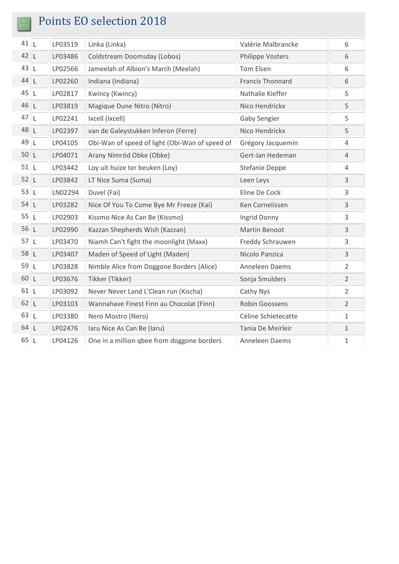$\frac{1}{2}$ 

| $41$  L | LP03519 | Linka (Linka)                                  | Valérie Malbrancke      | 6              |
|---------|---------|------------------------------------------------|-------------------------|----------------|
| 42 L    | LP03486 | Coldstream Doomsday (Lobos)                    | Philippe Vosters        | 6              |
| 43L     | LP02566 | Jameelah of Albion's March (Meelah)            | Tom Elsen               | 6              |
| 44 L    | LP02260 | Indiana (Indiana)                              | <b>Francis Thonnard</b> | 6              |
| 45L     | LP02817 | Kwincy (Kwincy)                                | Nathalie Kieffer        | 5              |
| 46 L    | LP03819 | Magique Dune Nitro (Nitro)                     | Nico Hendrickx          | 5              |
| 47L     | LP02241 | Ixcell (Ixcell)                                | <b>Gaby Sengier</b>     | 5              |
| 48 L    | LP02397 | van de Galeystukken Inferon (Ferre)            | Nico Hendrickx          | 5              |
| 49L     | LP04105 | Obi-Wan of speed of light (Obi-Wan of speed of | Grégory Jacquemin       | 4              |
| 50L     | LP04071 | Arany Nimród Obke (Obke)                       | Gert-Jan Hedeman        | $\overline{4}$ |
| 51L     | LP03442 | Loy uit huize ter beuken (Loy)                 | <b>Stefanie Deppe</b>   | 4              |
| 52 L    | LP03842 | LT Nice Suma (Suma)                            | Leen Leys               | 3              |
| 53 L    | LN02294 | Duvel (Fai)                                    | Eline De Cock           | 3              |
| 54 L    | LP03282 | Nice Of You To Come Bye Mr Freeze (Kai)        | Ken Cornelissen         | 3              |
| 55L     | LP02903 | Kissmo Nice As Can Be (Kissmo)                 | Ingrid Donny            | 3              |
| 56 L    | LP02990 | Kazzan Shepherds Wish (Kazzan)                 | Martin Benoot           | 3              |
| 57L     | LP03470 | Niamh Can't fight the moonlight (Maxx)         | Freddy Schrauwen        | 3              |
| 58 L    | LP03407 | Maden of Speed of Light (Maden)                | Nicolo Panzica          | 3              |
| 59L     | LP03828 | Nimble Alice from Doggone Borders (Alice)      | Anneleen Daems          | $\overline{2}$ |
| 60 L    | LP03676 | Tikker (Tikker)                                | Sonja Smulders          | $\overline{2}$ |
| 61L     | LP03092 | Never Never Land L'Clean run (Kischa)          | Cathy Nys               | $\overline{2}$ |
| 62 L    | LP03103 | Wannahave Finest Finn au Chocolat (Finn)       | Robin Goossens          | $\overline{2}$ |
| 63L     | LP03380 | Nero Mostro (Nero)                             | Céline Schietecatte     | $\mathbf 1$    |
| 64 L    | LP02476 | laru Nice As Can Be (laru)                     | Tania De Meirleir       | $\mathbf 1$    |
| 65L     | LP04126 | One in a million gbee from doggone borders     | Anneleen Daems          | $\mathbf{1}$   |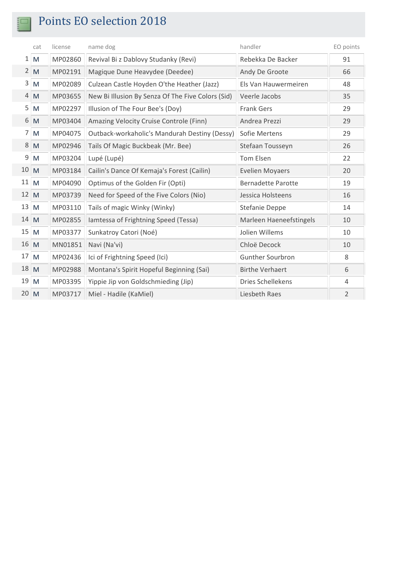$rac{3}{5}$ 

|             | cat            | license | name dog                                          | handler                   | EO points      |
|-------------|----------------|---------|---------------------------------------------------|---------------------------|----------------|
| $1\vert$    | M              | MP02860 | Revival Bi z Dablovy Studanky (Revi)              | Rebekka De Backer         | 91             |
|             | $2 \mathsf{M}$ | MP02191 | Magique Dune Heavydee (Deedee)                    | Andy De Groote            | 66             |
| 3           | M              | MP02089 | Culzean Castle Hoyden O'the Heather (Jazz)        | Els Van Hauwermeiren      | 48             |
| 4           | M              | MP03655 | New Bi Illusion By Senza Of The Five Colors (Sid) | Veerle Jacobs             | 35             |
| 5           | M              | MP02297 | Illusion of The Four Bee's (Doy)                  | <b>Frank Gers</b>         | 29             |
| 6           | $\mathsf{M}$   | MP03404 | Amazing Velocity Cruise Controle (Finn)           | Andrea Prezzi             | 29             |
| 7           | M              | MP04075 | Outback-workaholic's Mandurah Destiny (Dessy)     | Sofie Mertens             | 29             |
| 8           | M              | MP02946 | Tails Of Magic Buckbeak (Mr. Bee)                 | Stefaan Tousseyn          | 26             |
| 9           | M              | MP03204 | Lupé (Lupé)                                       | Tom Elsen                 | 22             |
| 10 M        |                | MP03184 | Cailin's Dance Of Kemaja's Forest (Cailin)        | <b>Evelien Moyaers</b>    | 20             |
| 11          | $\overline{M}$ | MP04090 | Optimus of the Golden Fir (Opti)                  | <b>Bernadette Parotte</b> | 19             |
| 12 M        |                | MP03739 | Need for Speed of the Five Colors (Nio)           | Jessica Holsteens         | 16             |
| $13 \mid M$ |                | MP03110 | Tails of magic Winky (Winky)                      | <b>Stefanie Deppe</b>     | 14             |
| 14 M        |                | MP02855 | lamtessa of Frightning Speed (Tessa)              | Marleen Haeneefstingels   | 10             |
| 15          | M              | MP03377 | Sunkatroy Catori (Noé)                            | Jolien Willems            | 10             |
| 16 M        |                | MN01851 | Navi (Na'vi)                                      | Chloë Decock              | 10             |
| $17 \, M$   |                | MP02436 | Ici of Frightning Speed (Ici)                     | <b>Gunther Sourbron</b>   | 8              |
| 18 M        |                | MP02988 | Montana's Spirit Hopeful Beginning (Sai)          | <b>Birthe Verhaert</b>    | 6              |
| 19          | M              | MP03395 | Yippie Jip von Goldschmieding (Jip)               | Dries Schellekens         | 4              |
| 20 M        |                | MP03717 | Miel - Hadile (KaMiel)                            | Liesbeth Raes             | $\overline{2}$ |